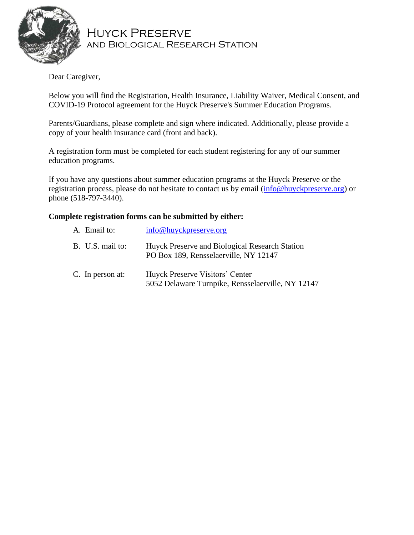

Huyck Preserve and Biological Research Station

Dear Caregiver,

Below you will find the Registration, Health Insurance, Liability Waiver, Medical Consent, and COVID-19 Protocol agreement for the Huyck Preserve's Summer Education Programs.

Parents/Guardians, please complete and sign where indicated. Additionally, please provide a copy of your health insurance card (front and back).

A registration form must be completed for each student registering for any of our summer education programs.

If you have any questions about summer education programs at the Huyck Preserve or the registration process, please do not hesitate to contact us by email [\(info@huyckpreserve.org\)](mailto:info@huyckpreserve.org) or phone (518-797-3440).

#### **Complete registration forms can be submitted by either:**

| A. Email to:     | info@huyckpreserve.org                                                                  |
|------------------|-----------------------------------------------------------------------------------------|
| B. U.S. mail to: | Huyck Preserve and Biological Research Station<br>PO Box 189, Rensselaerville, NY 12147 |
| C. In person at: | Huyck Preserve Visitors' Center<br>5052 Delaware Turnpike, Rensselaerville, NY 12147    |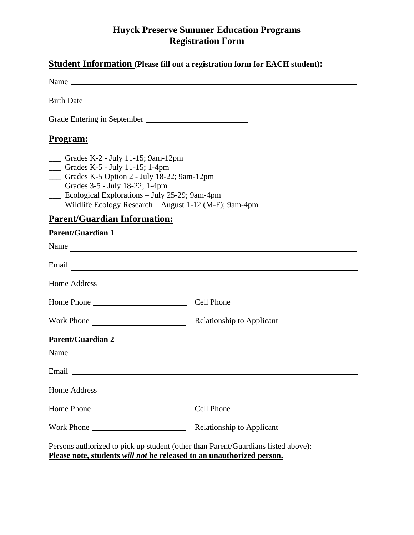#### **Huyck Preserve Summer Education Programs Registration Form**

|                                                                                                                                                                                                                          | <b>Student Information (Please fill out a registration form for EACH student):</b>                                                                                                                                                  |
|--------------------------------------------------------------------------------------------------------------------------------------------------------------------------------------------------------------------------|-------------------------------------------------------------------------------------------------------------------------------------------------------------------------------------------------------------------------------------|
| Birth Date                                                                                                                                                                                                               |                                                                                                                                                                                                                                     |
|                                                                                                                                                                                                                          |                                                                                                                                                                                                                                     |
| <u>Program:</u>                                                                                                                                                                                                          |                                                                                                                                                                                                                                     |
| - Grades K-2 - July 11-15; 9am-12pm<br>Crades K-5 - July 11-15; 1-4pm<br>- Grades K-5 Option 2 - July 18-22; 9am-12pm<br>- Grades 3-5 - July 18-22; 1-4pm<br>$\frac{1}{2}$ Ecological Explorations – July 25-29; 9am-4pm | Wildlife Ecology Research - August 1-12 (M-F); 9am-4pm                                                                                                                                                                              |
| <b>Parent/Guardian Information:</b>                                                                                                                                                                                      |                                                                                                                                                                                                                                     |
| <b>Parent/Guardian 1</b>                                                                                                                                                                                                 |                                                                                                                                                                                                                                     |
|                                                                                                                                                                                                                          | Name                                                                                                                                                                                                                                |
|                                                                                                                                                                                                                          | Email <u>and</u> the contract of the contract of the contract of the contract of the contract of the contract of the contract of the contract of the contract of the contract of the contract of the contract of the contract of th |
|                                                                                                                                                                                                                          |                                                                                                                                                                                                                                     |
|                                                                                                                                                                                                                          |                                                                                                                                                                                                                                     |
|                                                                                                                                                                                                                          |                                                                                                                                                                                                                                     |
| <b>Parent/Guardian 2</b><br>Name                                                                                                                                                                                         | <u> 1989 - Andrea Andrew Maria (h. 1989).</u>                                                                                                                                                                                       |
|                                                                                                                                                                                                                          |                                                                                                                                                                                                                                     |
|                                                                                                                                                                                                                          |                                                                                                                                                                                                                                     |
|                                                                                                                                                                                                                          |                                                                                                                                                                                                                                     |
|                                                                                                                                                                                                                          |                                                                                                                                                                                                                                     |
|                                                                                                                                                                                                                          | Persons authorized to pick up student (other than Parent/Guardians listed above):<br>Please note, students will not be released to an unauthorized person.                                                                          |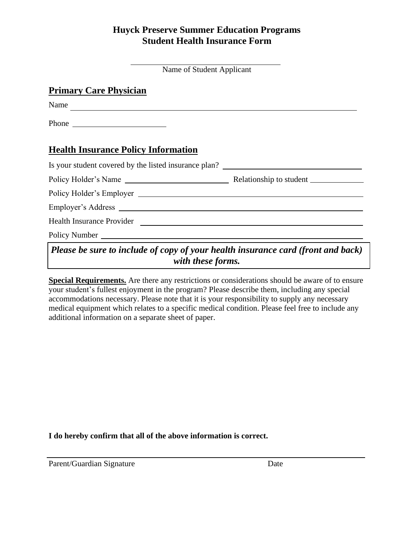## **Huyck Preserve Summer Education Programs Student Health Insurance Form**

#### **Primary Care Physician**

Name

Phone

## **Health Insurance Policy Information**

| Is your student covered by the listed insurance plan?                                                                                                                                                                                                                                                                              |                                                                                                                                                                                                                                                                                                                                    |  |  |
|------------------------------------------------------------------------------------------------------------------------------------------------------------------------------------------------------------------------------------------------------------------------------------------------------------------------------------|------------------------------------------------------------------------------------------------------------------------------------------------------------------------------------------------------------------------------------------------------------------------------------------------------------------------------------|--|--|
|                                                                                                                                                                                                                                                                                                                                    |                                                                                                                                                                                                                                                                                                                                    |  |  |
|                                                                                                                                                                                                                                                                                                                                    |                                                                                                                                                                                                                                                                                                                                    |  |  |
|                                                                                                                                                                                                                                                                                                                                    |                                                                                                                                                                                                                                                                                                                                    |  |  |
|                                                                                                                                                                                                                                                                                                                                    |                                                                                                                                                                                                                                                                                                                                    |  |  |
|                                                                                                                                                                                                                                                                                                                                    |                                                                                                                                                                                                                                                                                                                                    |  |  |
| $\mathbf{D}$ $\mathbf{I}$ $\mathbf{I}$ $\mathbf{I}$ $\mathbf{I}$ $\mathbf{A}$ $\mathbf{I}$ $\mathbf{I}$ $\mathbf{A}$ $\mathbf{I}$ $\mathbf{I}$ $\mathbf{I}$ $\mathbf{I}$ $\mathbf{I}$ $\mathbf{I}$ $\mathbf{I}$ $\mathbf{I}$ $\mathbf{I}$ $\mathbf{I}$ $\mathbf{I}$ $\mathbf{I}$ $\mathbf{I}$ $\mathbf{I}$ $\mathbf{I}$ $\mathbf{$ | $\mathbf{1}$ $\mathbf{1}$ $\mathbf{1}$ $\mathbf{1}$ $\mathbf{1}$ $\mathbf{1}$ $\mathbf{1}$ $\mathbf{1}$ $\mathbf{1}$ $\mathbf{1}$ $\mathbf{1}$ $\mathbf{1}$ $\mathbf{1}$ $\mathbf{1}$ $\mathbf{1}$ $\mathbf{1}$ $\mathbf{1}$ $\mathbf{1}$ $\mathbf{1}$ $\mathbf{1}$ $\mathbf{1}$ $\mathbf{1}$ $\mathbf{1}$ $\mathbf{1}$ $\mathbf{$ |  |  |

# *Please be sure to include of copy of your health insurance card (front and back) with these forms.*

**Special Requirements.** Are there any restrictions or considerations should be aware of to ensure your student's fullest enjoyment in the program? Please describe them, including any special accommodations necessary. Please note that it is your responsibility to supply any necessary medical equipment which relates to a specific medical condition. Please feel free to include any additional information on a separate sheet of paper.

**I do hereby confirm that all of the above information is correct.**

Parent/Guardian Signature Date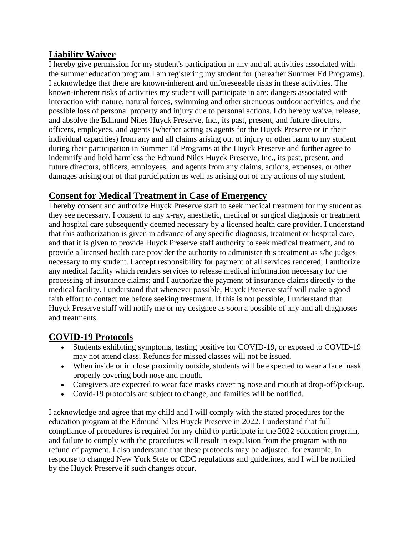#### **Liability Waiver**

I hereby give permission for my student's participation in any and all activities associated with the summer education program I am registering my student for (hereafter Summer Ed Programs). I acknowledge that there are known-inherent and unforeseeable risks in these activities. The known-inherent risks of activities my student will participate in are: dangers associated with interaction with nature, natural forces, swimming and other strenuous outdoor activities, and the possible loss of personal property and injury due to personal actions. I do hereby waive, release, and absolve the Edmund Niles Huyck Preserve, Inc., its past, present, and future directors, officers, employees, and agents (whether acting as agents for the Huyck Preserve or in their individual capacities) from any and all claims arising out of injury or other harm to my student during their participation in Summer Ed Programs at the Huyck Preserve and further agree to indemnify and hold harmless the Edmund Niles Huyck Preserve, Inc., its past, present, and future directors, officers, employees, and agents from any claims, actions, expenses, or other damages arising out of that participation as well as arising out of any actions of my student.

## **Consent for Medical Treatment in Case of Emergency**

I hereby consent and authorize Huyck Preserve staff to seek medical treatment for my student as they see necessary. I consent to any x-ray, anesthetic, medical or surgical diagnosis or treatment and hospital care subsequently deemed necessary by a licensed health care provider. I understand that this authorization is given in advance of any specific diagnosis, treatment or hospital care, and that it is given to provide Huyck Preserve staff authority to seek medical treatment, and to provide a licensed health care provider the authority to administer this treatment as s/he judges necessary to my student. I accept responsibility for payment of all services rendered; I authorize any medical facility which renders services to release medical information necessary for the processing of insurance claims; and I authorize the payment of insurance claims directly to the medical facility. I understand that whenever possible, Huyck Preserve staff will make a good faith effort to contact me before seeking treatment. If this is not possible, I understand that Huyck Preserve staff will notify me or my designee as soon a possible of any and all diagnoses and treatments.

## **COVID-19 Protocols**

- Students exhibiting symptoms, testing positive for COVID-19, or exposed to COVID-19 may not attend class. Refunds for missed classes will not be issued.
- When inside or in close proximity outside, students will be expected to wear a face mask properly covering both nose and mouth.
- Caregivers are expected to wear face masks covering nose and mouth at drop-off/pick-up.
- Covid-19 protocols are subject to change, and families will be notified.

I acknowledge and agree that my child and I will comply with the stated procedures for the education program at the Edmund Niles Huyck Preserve in 2022. I understand that full compliance of procedures is required for my child to participate in the 2022 education program, and failure to comply with the procedures will result in expulsion from the program with no refund of payment. I also understand that these protocols may be adjusted, for example, in response to changed New York State or CDC regulations and guidelines, and I will be notified by the Huyck Preserve if such changes occur.